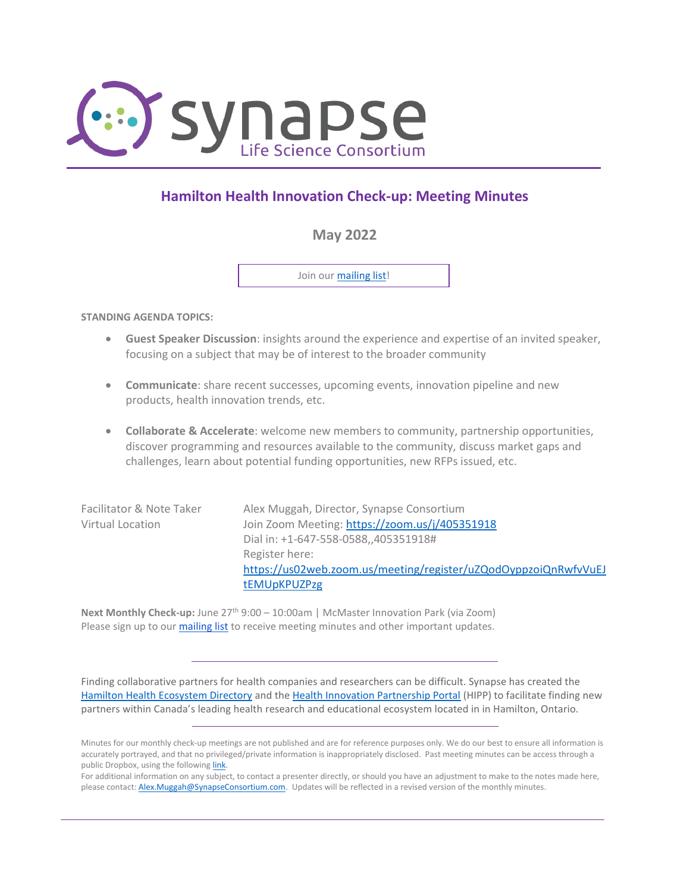

# **Hamilton Health Innovation Check-up: Meeting Minutes**

# **May 2022**

Join our [mailing list!](https://visitor.r20.constantcontact.com/d.jsp?llr=rbbfav6ab&p=oi&m=1131354948657&sit=5a5r49ymb&f=e2fc11a6-78ad-441e-967f-6657bc681978)

**STANDING AGENDA TOPICS:**

- **Guest Speaker Discussion**: insights around the experience and expertise of an invited speaker, focusing on a subject that may be of interest to the broader community
- **Communicate**: share recent successes, upcoming events, innovation pipeline and new products, health innovation trends, etc.
- **Collaborate & Accelerate**: welcome new members to community, partnership opportunities, discover programming and resources available to the community, discuss market gaps and challenges, learn about potential funding opportunities, new RFPs issued, etc.

| Alex Muggah, Director, Synapse Consortium                       |
|-----------------------------------------------------------------|
| Join Zoom Meeting: https://zoom.us/j/405351918                  |
| Dial in: +1-647-558-0588,,405351918#                            |
| Register here:                                                  |
| https://us02web.zoom.us/meeting/register/uZQodOyppzoiQnRwfvVuEJ |
| <b>tEMUpKPUZPzg</b>                                             |
|                                                                 |

Next Monthly Check-up: June 27<sup>th</sup> 9:00 – 10:00am | McMaster Innovation Park (via Zoom) Please sign up to ou[r mailing list](https://visitor.r20.constantcontact.com/manage/optin?v=001hO0yHkxIYQKAlMO_pSnfDfo_uuY5_5fXnHKvgBKdNxjSUL2x-4T9_JtIsjUbRZ-ANoytkI-hduz7FYgb1jNcMWeMkP5RgEdzfUS-4ZFQcOY%3D) to receive meeting minutes and other important updates.

Finding collaborative partners for health companies and researchers can be difficult. Synapse has created the [Hamilton Health Ecosystem Directory](https://synapseconsortium.com/directory/) and th[e Health Innovation Partnership Portal](http://www.synapseconsortium.com/partner) (HIPP) to facilitate finding new partners within Canada's leading health research and educational ecosystem located in in Hamilton, Ontario.

Minutes for our monthly check-up meetings are not published and are for reference purposes only. We do our best to ensure all information is accurately portrayed, and that no privileged/private information is inappropriately disclosed. Past meeting minutes can be access through a public Dropbox, using the following [link.](https://www.dropbox.com/sh/wszh8i2jq1sr03g/AACByBs-HmHVBl0ZIX5Hj7zEa?dl=0)

For additional information on any subject, to contact a presenter directly, or should you have an adjustment to make to the notes made here, please contact[: Alex.Muggah@SynapseConsortium.com.](mailto:Alex.Muggah@SynapseConsortium.com) Updates will be reflected in a revised version of the monthly minutes.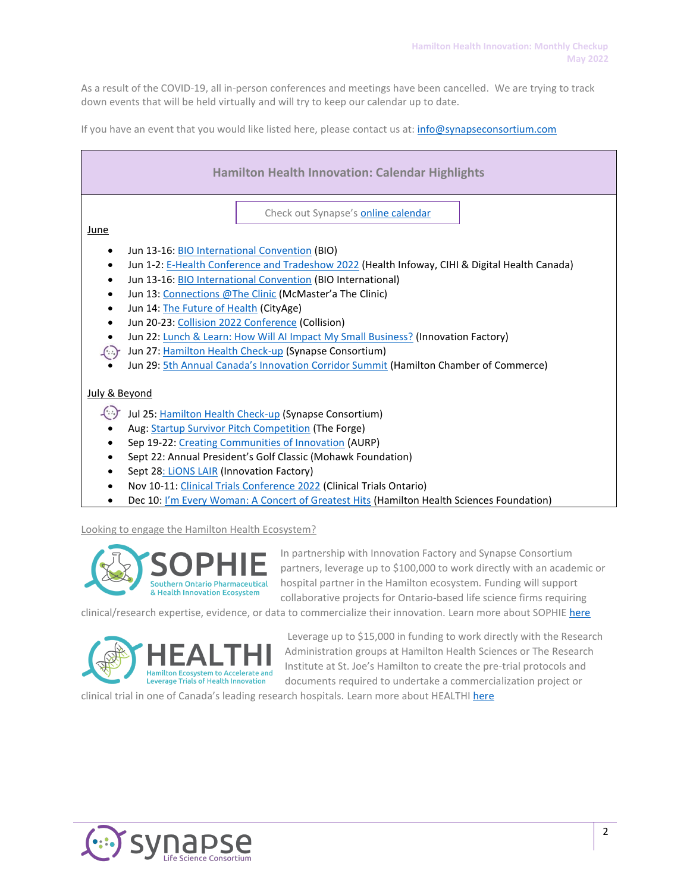As a result of the COVID-19, all in-person conferences and meetings have been cancelled. We are trying to track down events that will be held virtually and will try to keep our calendar up to date.

If you have an event that you would like listed here, please contact us at[: info@synapseconsortium.com](mailto:info@synapseconsortium.com)

| <b>Hamilton Health Innovation: Calendar Highlights</b>                                                                                                                                                                                                                                                                                                                                                                                                                                                                                                                                                                                                                                                                  |
|-------------------------------------------------------------------------------------------------------------------------------------------------------------------------------------------------------------------------------------------------------------------------------------------------------------------------------------------------------------------------------------------------------------------------------------------------------------------------------------------------------------------------------------------------------------------------------------------------------------------------------------------------------------------------------------------------------------------------|
| Check out Synapse's <b>online calendar</b><br>June                                                                                                                                                                                                                                                                                                                                                                                                                                                                                                                                                                                                                                                                      |
| Jun 13-16: <b>BIO International Convention (BIO)</b><br>Jun 1-2: E-Health Conference and Tradeshow 2022 (Health Infoway, CIHI & Digital Health Canada)<br>$\bullet$<br>Jun 13-16: <b>BIO International Convention</b> (BIO International)<br>$\bullet$<br>Jun 13: Connections @The Clinic (McMaster'a The Clinic)<br>Jun 14: The Future of Health (CityAge)<br>$\bullet$<br>Jun 20-23: Collision 2022 Conference (Collision)<br>$\bullet$<br>Jun 22: Lunch & Learn: How Will Al Impact My Small Business? (Innovation Factory)<br>$\bullet$<br>Jun 27: Hamilton Health Check-up (Synapse Consortium)<br>$\left( \cdot \right)$<br>Jun 29: 5th Annual Canada's Innovation Corridor Summit (Hamilton Chamber of Commerce) |
| July & Beyond                                                                                                                                                                                                                                                                                                                                                                                                                                                                                                                                                                                                                                                                                                           |
| $\left( \right)$<br>Jul 25: Hamilton Health Check-up (Synapse Consortium)                                                                                                                                                                                                                                                                                                                                                                                                                                                                                                                                                                                                                                               |
| Aug: Startup Survivor Pitch Competition (The Forge)<br>Sep 19-22: Creating Communities of Innovation (AURP)                                                                                                                                                                                                                                                                                                                                                                                                                                                                                                                                                                                                             |
| Sept 22: Annual President's Golf Classic (Mohawk Foundation)                                                                                                                                                                                                                                                                                                                                                                                                                                                                                                                                                                                                                                                            |
| Sept 28: LiONS LAIR (Innovation Factory)                                                                                                                                                                                                                                                                                                                                                                                                                                                                                                                                                                                                                                                                                |
| Nov 10-11: Clinical Trials Conference 2022 (Clinical Trials Ontario)<br>٠                                                                                                                                                                                                                                                                                                                                                                                                                                                                                                                                                                                                                                               |
| Dec 10: I'm Every Woman: A Concert of Greatest Hits (Hamilton Health Sciences Foundation)                                                                                                                                                                                                                                                                                                                                                                                                                                                                                                                                                                                                                               |

Looking to engage the Hamilton Health Ecosystem?



In partnership with Innovation Factory and Synapse Consortium partners, leverage up to \$100,000 to work directly with an academic or hospital partner in the Hamilton ecosystem. Funding will support collaborative projects for Ontario-based life science firms requiring

clinical/research expertise, evidence, or data to commercialize their innovation. Learn more about SOPHIE [here](https://innovationfactory.ca/funding-sophie/)



Leverage up to \$15,000 in funding to work directly with the Research Administration groups at Hamilton Health Sciences or The Research Institute at St. Joe's Hamilton to create the pre-trial protocols and documents required to undertake a commercialization project or

clinical trial in one of Canada's leading research hospitals. Learn more about HEALTHI [here](https://innovationfactory.ca/funding-healthi/)

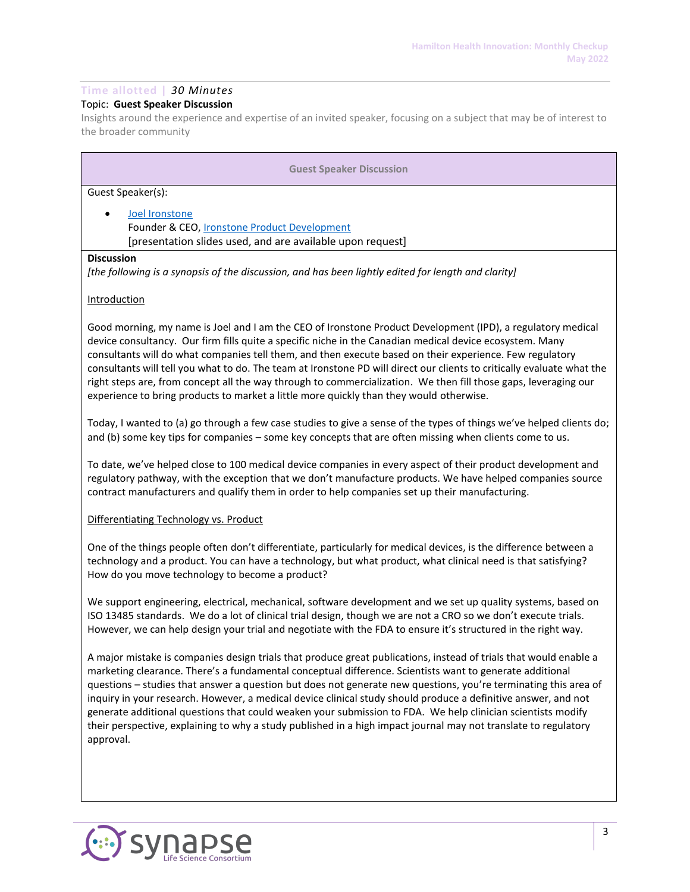# **Time allotted |** *30 Minutes*

# Topic: **Guest Speaker Discussion**

Insights around the experience and expertise of an invited speaker, focusing on a subject that may be of interest to the broader community

| <b>Guest Speaker Discussion</b>                                                                                                                                                                                                                                                                                                                                                                                                                                                                                                                                                                                                                                             |
|-----------------------------------------------------------------------------------------------------------------------------------------------------------------------------------------------------------------------------------------------------------------------------------------------------------------------------------------------------------------------------------------------------------------------------------------------------------------------------------------------------------------------------------------------------------------------------------------------------------------------------------------------------------------------------|
| Guest Speaker(s):                                                                                                                                                                                                                                                                                                                                                                                                                                                                                                                                                                                                                                                           |
| Joel Ironstone<br>Founder & CEO, <i>Ironstone Product Development</i><br>[presentation slides used, and are available upon request]                                                                                                                                                                                                                                                                                                                                                                                                                                                                                                                                         |
| <b>Discussion</b>                                                                                                                                                                                                                                                                                                                                                                                                                                                                                                                                                                                                                                                           |
| [the following is a synopsis of the discussion, and has been lightly edited for length and clarity]                                                                                                                                                                                                                                                                                                                                                                                                                                                                                                                                                                         |
| <b>Introduction</b>                                                                                                                                                                                                                                                                                                                                                                                                                                                                                                                                                                                                                                                         |
| Good morning, my name is Joel and I am the CEO of Ironstone Product Development (IPD), a regulatory medical<br>device consultancy. Our firm fills quite a specific niche in the Canadian medical device ecosystem. Many<br>consultants will do what companies tell them, and then execute based on their experience. Few regulatory<br>consultants will tell you what to do. The team at Ironstone PD will direct our clients to critically evaluate what the<br>right steps are, from concept all the way through to commercialization. We then fill those gaps, leveraging our<br>experience to bring products to market a little more quickly than they would otherwise. |
| Today, I wanted to (a) go through a few case studies to give a sense of the types of things we've helped clients do;<br>and (b) some key tips for companies - some key concepts that are often missing when clients come to us.                                                                                                                                                                                                                                                                                                                                                                                                                                             |
| To date, we've helped close to 100 medical device companies in every aspect of their product development and<br>regulatory pathway, with the exception that we don't manufacture products. We have helped companies source<br>contract manufacturers and qualify them in order to help companies set up their manufacturing.                                                                                                                                                                                                                                                                                                                                                |
| Differentiating Technology vs. Product                                                                                                                                                                                                                                                                                                                                                                                                                                                                                                                                                                                                                                      |

One of the things people often don't differentiate, particularly for medical devices, is the difference between a technology and a product. You can have a technology, but what product, what clinical need is that satisfying? How do you move technology to become a product?

We support engineering, electrical, mechanical, software development and we set up quality systems, based on ISO 13485 standards. We do a lot of clinical trial design, though we are not a CRO so we don't execute trials. However, we can help design your trial and negotiate with the FDA to ensure it's structured in the right way.

A major mistake is companies design trials that produce great publications, instead of trials that would enable a marketing clearance. There's a fundamental conceptual difference. Scientists want to generate additional questions – studies that answer a question but does not generate new questions, you're terminating this area of inquiry in your research. However, a medical device clinical study should produce a definitive answer, and not generate additional questions that could weaken your submission to FDA. We help clinician scientists modify their perspective, explaining to why a study published in a high impact journal may not translate to regulatory approval.

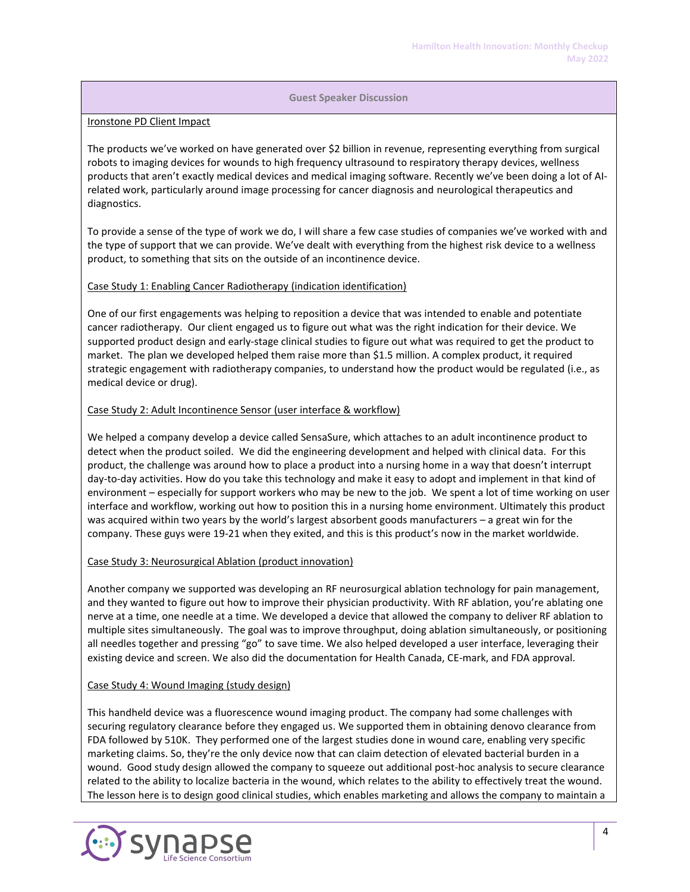#### Ironstone PD Client Impact

The products we've worked on have generated over \$2 billion in revenue, representing everything from surgical robots to imaging devices for wounds to high frequency ultrasound to respiratory therapy devices, wellness products that aren't exactly medical devices and medical imaging software. Recently we've been doing a lot of AIrelated work, particularly around image processing for cancer diagnosis and neurological therapeutics and diagnostics.

To provide a sense of the type of work we do, I will share a few case studies of companies we've worked with and the type of support that we can provide. We've dealt with everything from the highest risk device to a wellness product, to something that sits on the outside of an incontinence device.

#### Case Study 1: Enabling Cancer Radiotherapy (indication identification)

One of our first engagements was helping to reposition a device that was intended to enable and potentiate cancer radiotherapy. Our client engaged us to figure out what was the right indication for their device. We supported product design and early-stage clinical studies to figure out what was required to get the product to market. The plan we developed helped them raise more than \$1.5 million. A complex product, it required strategic engagement with radiotherapy companies, to understand how the product would be regulated (i.e., as medical device or drug).

#### Case Study 2: Adult Incontinence Sensor (user interface & workflow)

We helped a company develop a device called SensaSure, which attaches to an adult incontinence product to detect when the product soiled. We did the engineering development and helped with clinical data. For this product, the challenge was around how to place a product into a nursing home in a way that doesn't interrupt day-to-day activities. How do you take this technology and make it easy to adopt and implement in that kind of environment – especially for support workers who may be new to the job. We spent a lot of time working on user interface and workflow, working out how to position this in a nursing home environment. Ultimately this product was acquired within two years by the world's largest absorbent goods manufacturers – a great win for the company. These guys were 19-21 when they exited, and this is this product's now in the market worldwide.

## Case Study 3: Neurosurgical Ablation (product innovation)

Another company we supported was developing an RF neurosurgical ablation technology for pain management, and they wanted to figure out how to improve their physician productivity. With RF ablation, you're ablating one nerve at a time, one needle at a time. We developed a device that allowed the company to deliver RF ablation to multiple sites simultaneously. The goal was to improve throughput, doing ablation simultaneously, or positioning all needles together and pressing "go" to save time. We also helped developed a user interface, leveraging their existing device and screen. We also did the documentation for Health Canada, CE-mark, and FDA approval.

## Case Study 4: Wound Imaging (study design)

This handheld device was a fluorescence wound imaging product. The company had some challenges with securing regulatory clearance before they engaged us. We supported them in obtaining denovo clearance from FDA followed by 510K. They performed one of the largest studies done in wound care, enabling very specific marketing claims. So, they're the only device now that can claim detection of elevated bacterial burden in a wound. Good study design allowed the company to squeeze out additional post-hoc analysis to secure clearance related to the ability to localize bacteria in the wound, which relates to the ability to effectively treat the wound. The lesson here is to design good clinical studies, which enables marketing and allows the company to maintain a

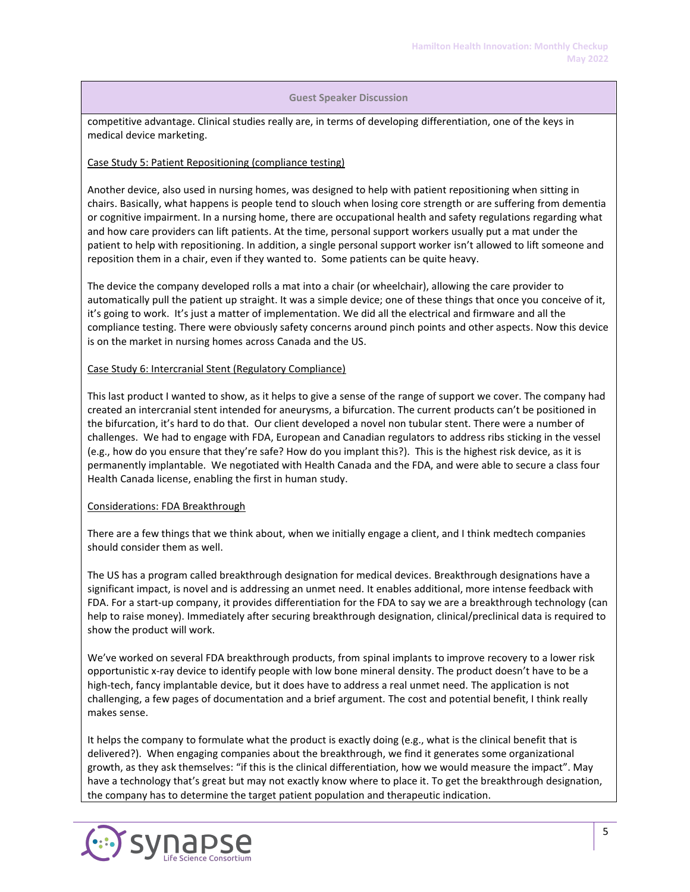competitive advantage. Clinical studies really are, in terms of developing differentiation, one of the keys in medical device marketing.

## Case Study 5: Patient Repositioning (compliance testing)

Another device, also used in nursing homes, was designed to help with patient repositioning when sitting in chairs. Basically, what happens is people tend to slouch when losing core strength or are suffering from dementia or cognitive impairment. In a nursing home, there are occupational health and safety regulations regarding what and how care providers can lift patients. At the time, personal support workers usually put a mat under the patient to help with repositioning. In addition, a single personal support worker isn't allowed to lift someone and reposition them in a chair, even if they wanted to. Some patients can be quite heavy.

The device the company developed rolls a mat into a chair (or wheelchair), allowing the care provider to automatically pull the patient up straight. It was a simple device; one of these things that once you conceive of it, it's going to work. It's just a matter of implementation. We did all the electrical and firmware and all the compliance testing. There were obviously safety concerns around pinch points and other aspects. Now this device is on the market in nursing homes across Canada and the US.

## Case Study 6: Intercranial Stent (Regulatory Compliance)

This last product I wanted to show, as it helps to give a sense of the range of support we cover. The company had created an intercranial stent intended for aneurysms, a bifurcation. The current products can't be positioned in the bifurcation, it's hard to do that. Our client developed a novel non tubular stent. There were a number of challenges. We had to engage with FDA, European and Canadian regulators to address ribs sticking in the vessel (e.g., how do you ensure that they're safe? How do you implant this?). This is the highest risk device, as it is permanently implantable. We negotiated with Health Canada and the FDA, and were able to secure a class four Health Canada license, enabling the first in human study.

## Considerations: FDA Breakthrough

There are a few things that we think about, when we initially engage a client, and I think medtech companies should consider them as well.

The US has a program called breakthrough designation for medical devices. Breakthrough designations have a significant impact, is novel and is addressing an unmet need. It enables additional, more intense feedback with FDA. For a start-up company, it provides differentiation for the FDA to say we are a breakthrough technology (can help to raise money). Immediately after securing breakthrough designation, clinical/preclinical data is required to show the product will work.

We've worked on several FDA breakthrough products, from spinal implants to improve recovery to a lower risk opportunistic x-ray device to identify people with low bone mineral density. The product doesn't have to be a high-tech, fancy implantable device, but it does have to address a real unmet need. The application is not challenging, a few pages of documentation and a brief argument. The cost and potential benefit, I think really makes sense.

It helps the company to formulate what the product is exactly doing (e.g., what is the clinical benefit that is delivered?). When engaging companies about the breakthrough, we find it generates some organizational growth, as they ask themselves: "if this is the clinical differentiation, how we would measure the impact". May have a technology that's great but may not exactly know where to place it. To get the breakthrough designation, the company has to determine the target patient population and therapeutic indication.

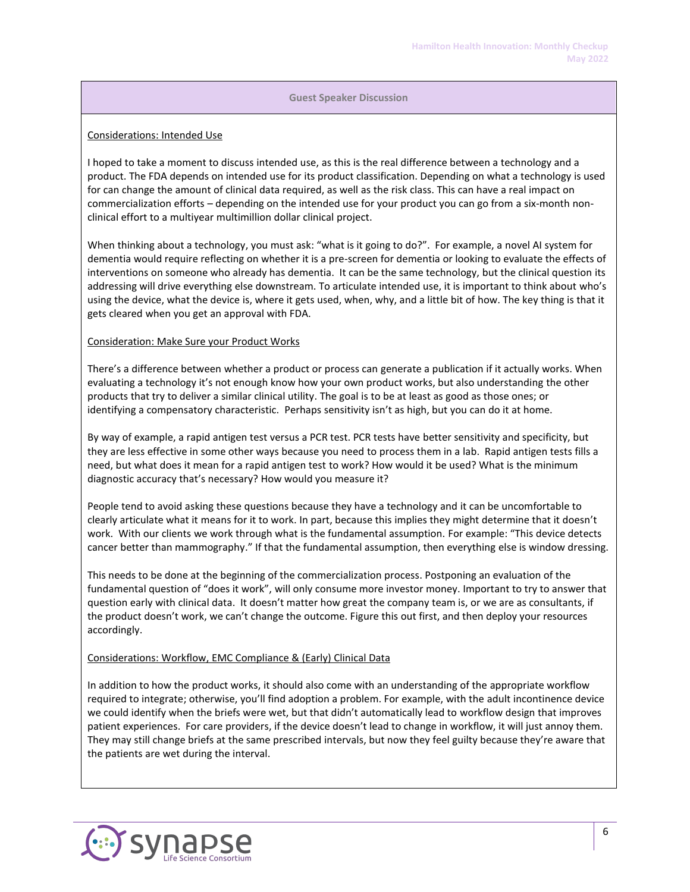## Considerations: Intended Use

I hoped to take a moment to discuss intended use, as this is the real difference between a technology and a product. The FDA depends on intended use for its product classification. Depending on what a technology is used for can change the amount of clinical data required, as well as the risk class. This can have a real impact on commercialization efforts – depending on the intended use for your product you can go from a six-month nonclinical effort to a multiyear multimillion dollar clinical project.

When thinking about a technology, you must ask: "what is it going to do?". For example, a novel AI system for dementia would require reflecting on whether it is a pre-screen for dementia or looking to evaluate the effects of interventions on someone who already has dementia. It can be the same technology, but the clinical question its addressing will drive everything else downstream. To articulate intended use, it is important to think about who's using the device, what the device is, where it gets used, when, why, and a little bit of how. The key thing is that it gets cleared when you get an approval with FDA.

## Consideration: Make Sure your Product Works

There's a difference between whether a product or process can generate a publication if it actually works. When evaluating a technology it's not enough know how your own product works, but also understanding the other products that try to deliver a similar clinical utility. The goal is to be at least as good as those ones; or identifying a compensatory characteristic. Perhaps sensitivity isn't as high, but you can do it at home.

By way of example, a rapid antigen test versus a PCR test. PCR tests have better sensitivity and specificity, but they are less effective in some other ways because you need to process them in a lab. Rapid antigen tests fills a need, but what does it mean for a rapid antigen test to work? How would it be used? What is the minimum diagnostic accuracy that's necessary? How would you measure it?

People tend to avoid asking these questions because they have a technology and it can be uncomfortable to clearly articulate what it means for it to work. In part, because this implies they might determine that it doesn't work. With our clients we work through what is the fundamental assumption. For example: "This device detects cancer better than mammography." If that the fundamental assumption, then everything else is window dressing.

This needs to be done at the beginning of the commercialization process. Postponing an evaluation of the fundamental question of "does it work", will only consume more investor money. Important to try to answer that question early with clinical data. It doesn't matter how great the company team is, or we are as consultants, if the product doesn't work, we can't change the outcome. Figure this out first, and then deploy your resources accordingly.

## Considerations: Workflow, EMC Compliance & (Early) Clinical Data

In addition to how the product works, it should also come with an understanding of the appropriate workflow required to integrate; otherwise, you'll find adoption a problem. For example, with the adult incontinence device we could identify when the briefs were wet, but that didn't automatically lead to workflow design that improves patient experiences. For care providers, if the device doesn't lead to change in workflow, it will just annoy them. They may still change briefs at the same prescribed intervals, but now they feel guilty because they're aware that the patients are wet during the interval.

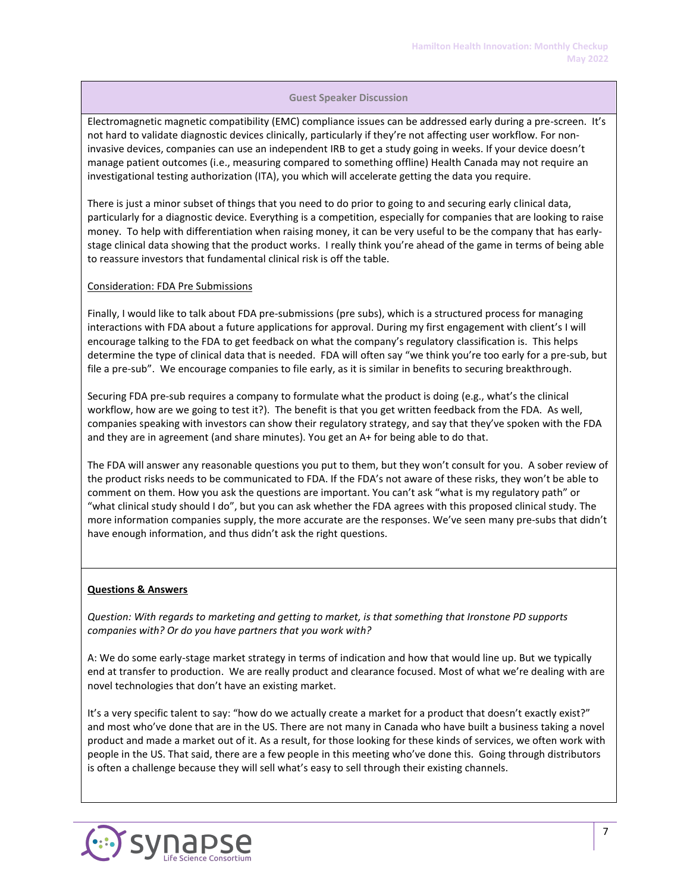Electromagnetic magnetic compatibility (EMC) compliance issues can be addressed early during a pre-screen. It's not hard to validate diagnostic devices clinically, particularly if they're not affecting user workflow. For noninvasive devices, companies can use an independent IRB to get a study going in weeks. If your device doesn't manage patient outcomes (i.e., measuring compared to something offline) Health Canada may not require an investigational testing authorization (ITA), you which will accelerate getting the data you require.

There is just a minor subset of things that you need to do prior to going to and securing early clinical data, particularly for a diagnostic device. Everything is a competition, especially for companies that are looking to raise money. To help with differentiation when raising money, it can be very useful to be the company that has earlystage clinical data showing that the product works. I really think you're ahead of the game in terms of being able to reassure investors that fundamental clinical risk is off the table.

#### Consideration: FDA Pre Submissions

Finally, I would like to talk about FDA pre-submissions (pre subs), which is a structured process for managing interactions with FDA about a future applications for approval. During my first engagement with client's I will encourage talking to the FDA to get feedback on what the company's regulatory classification is. This helps determine the type of clinical data that is needed. FDA will often say "we think you're too early for a pre-sub, but file a pre-sub". We encourage companies to file early, as it is similar in benefits to securing breakthrough.

Securing FDA pre-sub requires a company to formulate what the product is doing (e.g., what's the clinical workflow, how are we going to test it?). The benefit is that you get written feedback from the FDA. As well, companies speaking with investors can show their regulatory strategy, and say that they've spoken with the FDA and they are in agreement (and share minutes). You get an A+ for being able to do that.

The FDA will answer any reasonable questions you put to them, but they won't consult for you. A sober review of the product risks needs to be communicated to FDA. If the FDA's not aware of these risks, they won't be able to comment on them. How you ask the questions are important. You can't ask "what is my regulatory path" or "what clinical study should I do", but you can ask whether the FDA agrees with this proposed clinical study. The more information companies supply, the more accurate are the responses. We've seen many pre-subs that didn't have enough information, and thus didn't ask the right questions.

## **Questions & Answers**

*Question: With regards to marketing and getting to market, is that something that Ironstone PD supports companies with? Or do you have partners that you work with?*

A: We do some early-stage market strategy in terms of indication and how that would line up. But we typically end at transfer to production. We are really product and clearance focused. Most of what we're dealing with are novel technologies that don't have an existing market.

It's a very specific talent to say: "how do we actually create a market for a product that doesn't exactly exist?" and most who've done that are in the US. There are not many in Canada who have built a business taking a novel product and made a market out of it. As a result, for those looking for these kinds of services, we often work with people in the US. That said, there are a few people in this meeting who've done this. Going through distributors is often a challenge because they will sell what's easy to sell through their existing channels.

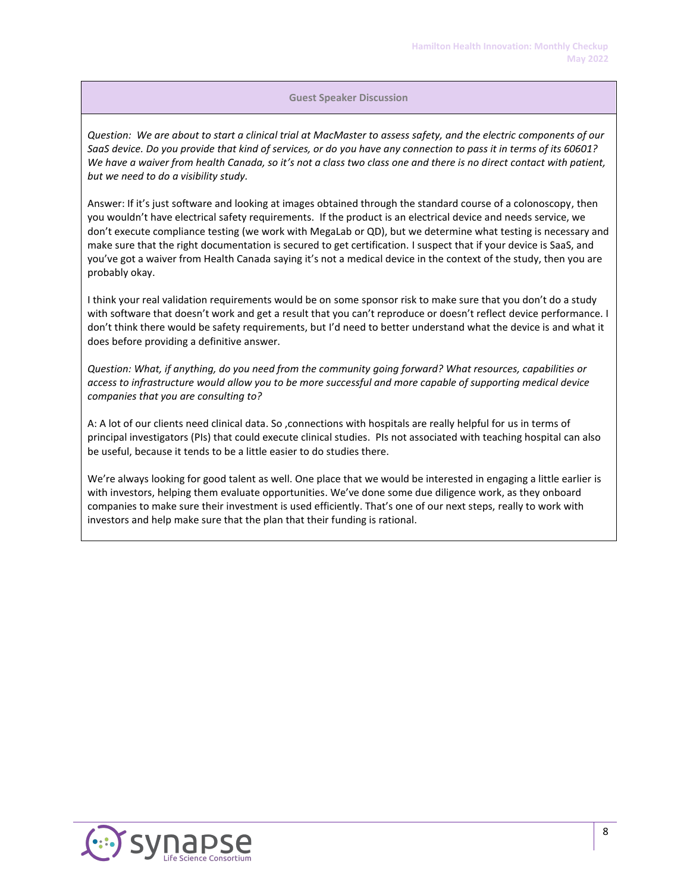*Question: We are about to start a clinical trial at MacMaster to assess safety, and the electric components of our SaaS device. Do you provide that kind of services, or do you have any connection to pass it in terms of its 60601? We have a waiver from health Canada, so it's not a class two class one and there is no direct contact with patient, but we need to do a visibility study.*

Answer: If it's just software and looking at images obtained through the standard course of a colonoscopy, then you wouldn't have electrical safety requirements. If the product is an electrical device and needs service, we don't execute compliance testing (we work with MegaLab or QD), but we determine what testing is necessary and make sure that the right documentation is secured to get certification. I suspect that if your device is SaaS, and you've got a waiver from Health Canada saying it's not a medical device in the context of the study, then you are probably okay.

I think your real validation requirements would be on some sponsor risk to make sure that you don't do a study with software that doesn't work and get a result that you can't reproduce or doesn't reflect device performance. I don't think there would be safety requirements, but I'd need to better understand what the device is and what it does before providing a definitive answer.

*Question: What, if anything, do you need from the community going forward? What resources, capabilities or access to infrastructure would allow you to be more successful and more capable of supporting medical device companies that you are consulting to?*

A: A lot of our clients need clinical data. So ,connections with hospitals are really helpful for us in terms of principal investigators (PIs) that could execute clinical studies. PIs not associated with teaching hospital can also be useful, because it tends to be a little easier to do studies there.

We're always looking for good talent as well. One place that we would be interested in engaging a little earlier is with investors, helping them evaluate opportunities. We've done some due diligence work, as they onboard companies to make sure their investment is used efficiently. That's one of our next steps, really to work with investors and help make sure that the plan that their funding is rational.

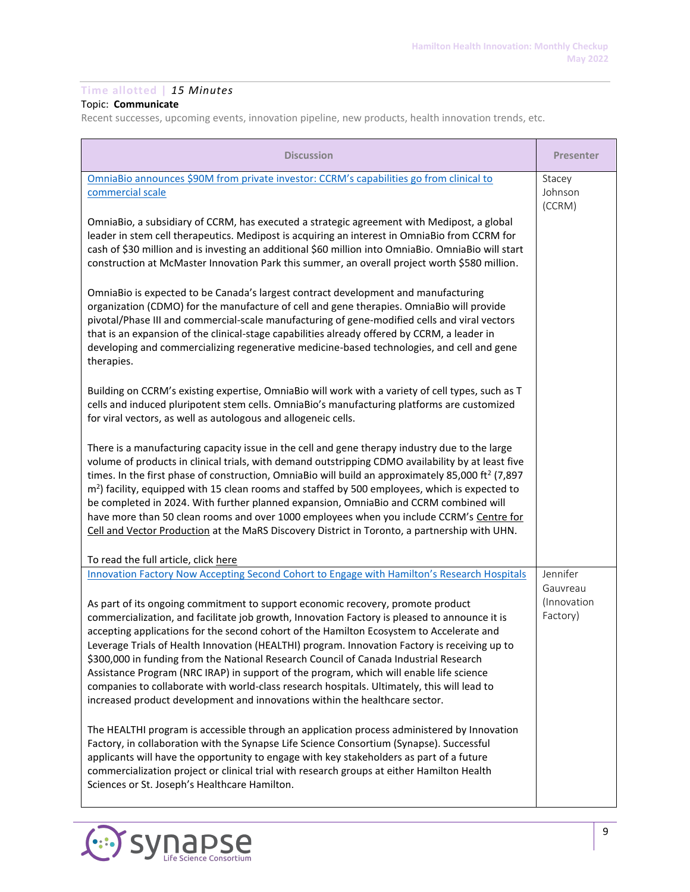# **Time allotted |** *15 Minutes*

# Topic: **Communicate**

Recent successes, upcoming events, innovation pipeline, new products, health innovation trends, etc.

| <b>Discussion</b>                                                                                                                                                                                                                                                                                                                                                                                                                                                                                                                                                                                                                                                                                                                                                                                                                              | <b>Presenter</b>                                |
|------------------------------------------------------------------------------------------------------------------------------------------------------------------------------------------------------------------------------------------------------------------------------------------------------------------------------------------------------------------------------------------------------------------------------------------------------------------------------------------------------------------------------------------------------------------------------------------------------------------------------------------------------------------------------------------------------------------------------------------------------------------------------------------------------------------------------------------------|-------------------------------------------------|
| OmniaBio announces \$90M from private investor: CCRM's capabilities go from clinical to<br>commercial scale                                                                                                                                                                                                                                                                                                                                                                                                                                                                                                                                                                                                                                                                                                                                    | Stacey<br>Johnson<br>(CCRM)                     |
| OmniaBio, a subsidiary of CCRM, has executed a strategic agreement with Medipost, a global<br>leader in stem cell therapeutics. Medipost is acquiring an interest in OmniaBio from CCRM for<br>cash of \$30 million and is investing an additional \$60 million into OmniaBio. OmniaBio will start<br>construction at McMaster Innovation Park this summer, an overall project worth \$580 million.                                                                                                                                                                                                                                                                                                                                                                                                                                            |                                                 |
| OmniaBio is expected to be Canada's largest contract development and manufacturing<br>organization (CDMO) for the manufacture of cell and gene therapies. OmniaBio will provide<br>pivotal/Phase III and commercial-scale manufacturing of gene-modified cells and viral vectors<br>that is an expansion of the clinical-stage capabilities already offered by CCRM, a leader in<br>developing and commercializing regenerative medicine-based technologies, and cell and gene<br>therapies.                                                                                                                                                                                                                                                                                                                                                   |                                                 |
| Building on CCRM's existing expertise, OmniaBio will work with a variety of cell types, such as T<br>cells and induced pluripotent stem cells. OmniaBio's manufacturing platforms are customized<br>for viral vectors, as well as autologous and allogeneic cells.                                                                                                                                                                                                                                                                                                                                                                                                                                                                                                                                                                             |                                                 |
| There is a manufacturing capacity issue in the cell and gene therapy industry due to the large<br>volume of products in clinical trials, with demand outstripping CDMO availability by at least five<br>times. In the first phase of construction, OmniaBio will build an approximately 85,000 ft <sup>2</sup> (7,897<br>m <sup>2</sup> ) facility, equipped with 15 clean rooms and staffed by 500 employees, which is expected to<br>be completed in 2024. With further planned expansion, OmniaBio and CCRM combined will<br>have more than 50 clean rooms and over 1000 employees when you include CCRM's Centre for<br>Cell and Vector Production at the MaRS Discovery District in Toronto, a partnership with UHN.                                                                                                                      |                                                 |
| To read the full article, click here                                                                                                                                                                                                                                                                                                                                                                                                                                                                                                                                                                                                                                                                                                                                                                                                           |                                                 |
| Innovation Factory Now Accepting Second Cohort to Engage with Hamilton's Research Hospitals<br>As part of its ongoing commitment to support economic recovery, promote product<br>commercialization, and facilitate job growth, Innovation Factory is pleased to announce it is<br>accepting applications for the second cohort of the Hamilton Ecosystem to Accelerate and<br>Leverage Trials of Health Innovation (HEALTHI) program. Innovation Factory is receiving up to<br>\$300,000 in funding from the National Research Council of Canada Industrial Research<br>Assistance Program (NRC IRAP) in support of the program, which will enable life science<br>companies to collaborate with world-class research hospitals. Ultimately, this will lead to<br>increased product development and innovations within the healthcare sector. | Jennifer<br>Gauvreau<br>(Innovation<br>Factory) |
| The HEALTHI program is accessible through an application process administered by Innovation<br>Factory, in collaboration with the Synapse Life Science Consortium (Synapse). Successful<br>applicants will have the opportunity to engage with key stakeholders as part of a future<br>commercialization project or clinical trial with research groups at either Hamilton Health<br>Sciences or St. Joseph's Healthcare Hamilton.                                                                                                                                                                                                                                                                                                                                                                                                             |                                                 |

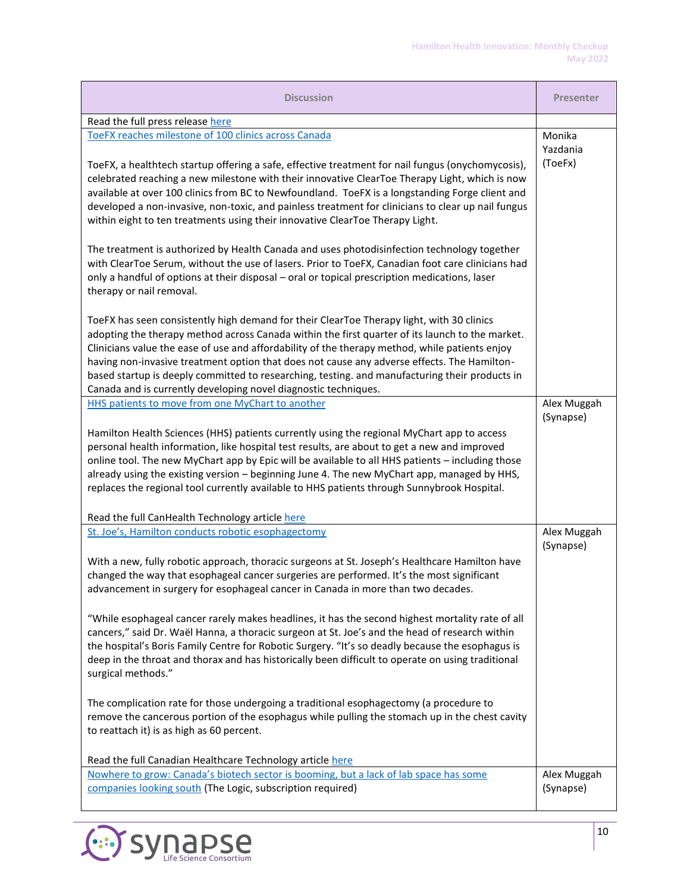| <b>Discussion</b>                                                                                                                                                                                                                                                                                                                                                                                                                                                                                                                                                  | <b>Presenter</b> |
|--------------------------------------------------------------------------------------------------------------------------------------------------------------------------------------------------------------------------------------------------------------------------------------------------------------------------------------------------------------------------------------------------------------------------------------------------------------------------------------------------------------------------------------------------------------------|------------------|
| Read the full press release here                                                                                                                                                                                                                                                                                                                                                                                                                                                                                                                                   |                  |
| ToeFX reaches milestone of 100 clinics across Canada                                                                                                                                                                                                                                                                                                                                                                                                                                                                                                               | Monika           |
|                                                                                                                                                                                                                                                                                                                                                                                                                                                                                                                                                                    | Yazdania         |
| ToeFX, a healthtech startup offering a safe, effective treatment for nail fungus (onychomycosis),<br>celebrated reaching a new milestone with their innovative ClearToe Therapy Light, which is now<br>available at over 100 clinics from BC to Newfoundland. ToeFX is a longstanding Forge client and<br>developed a non-invasive, non-toxic, and painless treatment for clinicians to clear up nail fungus<br>within eight to ten treatments using their innovative ClearToe Therapy Light.                                                                      | (ToeFx)          |
| The treatment is authorized by Health Canada and uses photodisinfection technology together<br>with ClearToe Serum, without the use of lasers. Prior to ToeFX, Canadian foot care clinicians had<br>only a handful of options at their disposal - oral or topical prescription medications, laser<br>therapy or nail removal.                                                                                                                                                                                                                                      |                  |
| ToeFX has seen consistently high demand for their ClearToe Therapy light, with 30 clinics<br>adopting the therapy method across Canada within the first quarter of its launch to the market.<br>Clinicians value the ease of use and affordability of the therapy method, while patients enjoy<br>having non-invasive treatment option that does not cause any adverse effects. The Hamilton-<br>based startup is deeply committed to researching, testing. and manufacturing their products in<br>Canada and is currently developing novel diagnostic techniques. |                  |
| HHS patients to move from one MyChart to another                                                                                                                                                                                                                                                                                                                                                                                                                                                                                                                   | Alex Muggah      |
| Hamilton Health Sciences (HHS) patients currently using the regional MyChart app to access<br>personal health information, like hospital test results, are about to get a new and improved<br>online tool. The new MyChart app by Epic will be available to all HHS patients - including those<br>already using the existing version - beginning June 4. The new MyChart app, managed by HHS,<br>replaces the regional tool currently available to HHS patients through Sunnybrook Hospital.<br>Read the full CanHealth Technology article here                    | (Synapse)        |
| St. Joe's, Hamilton conducts robotic esophagectomy                                                                                                                                                                                                                                                                                                                                                                                                                                                                                                                 | Alex Muggah      |
| With a new, fully robotic approach, thoracic surgeons at St. Joseph's Healthcare Hamilton have<br>changed the way that esophageal cancer surgeries are performed. It's the most significant<br>advancement in surgery for esophageal cancer in Canada in more than two decades.<br>"While esophageal cancer rarely makes headlines, it has the second highest mortality rate of all                                                                                                                                                                                | (Synapse)        |
| cancers," said Dr. Waël Hanna, a thoracic surgeon at St. Joe's and the head of research within<br>the hospital's Boris Family Centre for Robotic Surgery. "It's so deadly because the esophagus is<br>deep in the throat and thorax and has historically been difficult to operate on using traditional<br>surgical methods."                                                                                                                                                                                                                                      |                  |
| The complication rate for those undergoing a traditional esophagectomy (a procedure to<br>remove the cancerous portion of the esophagus while pulling the stomach up in the chest cavity<br>to reattach it) is as high as 60 percent.<br>Read the full Canadian Healthcare Technology article here                                                                                                                                                                                                                                                                 |                  |
| Nowhere to grow: Canada's biotech sector is booming, but a lack of lab space has some                                                                                                                                                                                                                                                                                                                                                                                                                                                                              | Alex Muggah      |
| companies looking south (The Logic, subscription required)                                                                                                                                                                                                                                                                                                                                                                                                                                                                                                         | (Synapse)        |

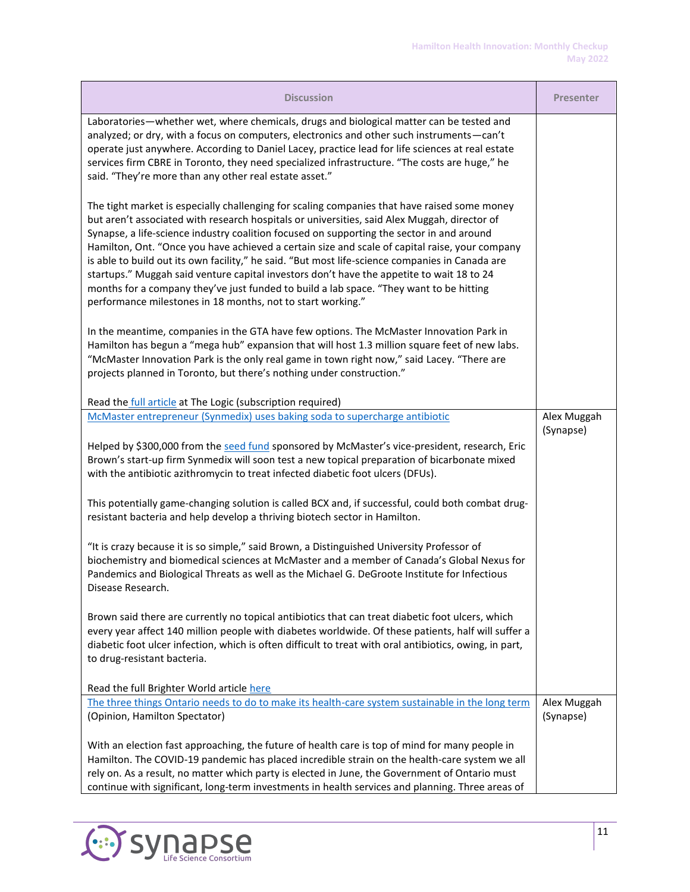| <b>Discussion</b>                                                                                                                                                                                                                                                                                                                                                                                                                                                                                                                                                                                                                                                                                                                                     | <b>Presenter</b>         |
|-------------------------------------------------------------------------------------------------------------------------------------------------------------------------------------------------------------------------------------------------------------------------------------------------------------------------------------------------------------------------------------------------------------------------------------------------------------------------------------------------------------------------------------------------------------------------------------------------------------------------------------------------------------------------------------------------------------------------------------------------------|--------------------------|
| Laboratories-whether wet, where chemicals, drugs and biological matter can be tested and<br>analyzed; or dry, with a focus on computers, electronics and other such instruments - can't<br>operate just anywhere. According to Daniel Lacey, practice lead for life sciences at real estate<br>services firm CBRE in Toronto, they need specialized infrastructure. "The costs are huge," he<br>said. "They're more than any other real estate asset."                                                                                                                                                                                                                                                                                                |                          |
| The tight market is especially challenging for scaling companies that have raised some money<br>but aren't associated with research hospitals or universities, said Alex Muggah, director of<br>Synapse, a life-science industry coalition focused on supporting the sector in and around<br>Hamilton, Ont. "Once you have achieved a certain size and scale of capital raise, your company<br>is able to build out its own facility," he said. "But most life-science companies in Canada are<br>startups." Muggah said venture capital investors don't have the appetite to wait 18 to 24<br>months for a company they've just funded to build a lab space. "They want to be hitting<br>performance milestones in 18 months, not to start working." |                          |
| In the meantime, companies in the GTA have few options. The McMaster Innovation Park in<br>Hamilton has begun a "mega hub" expansion that will host 1.3 million square feet of new labs.<br>"McMaster Innovation Park is the only real game in town right now," said Lacey. "There are<br>projects planned in Toronto, but there's nothing under construction."                                                                                                                                                                                                                                                                                                                                                                                       |                          |
| Read the full article at The Logic (subscription required)                                                                                                                                                                                                                                                                                                                                                                                                                                                                                                                                                                                                                                                                                            |                          |
| McMaster entrepreneur (Synmedix) uses baking soda to supercharge antibiotic                                                                                                                                                                                                                                                                                                                                                                                                                                                                                                                                                                                                                                                                           | Alex Muggah<br>(Synapse) |
| Helped by \$300,000 from the seed fund sponsored by McMaster's vice-president, research, Eric<br>Brown's start-up firm Synmedix will soon test a new topical preparation of bicarbonate mixed<br>with the antibiotic azithromycin to treat infected diabetic foot ulcers (DFUs).                                                                                                                                                                                                                                                                                                                                                                                                                                                                      |                          |
| This potentially game-changing solution is called BCX and, if successful, could both combat drug-<br>resistant bacteria and help develop a thriving biotech sector in Hamilton.                                                                                                                                                                                                                                                                                                                                                                                                                                                                                                                                                                       |                          |
| "It is crazy because it is so simple," said Brown, a Distinguished University Professor of<br>biochemistry and biomedical sciences at McMaster and a member of Canada's Global Nexus for<br>Pandemics and Biological Threats as well as the Michael G. DeGroote Institute for Infectious<br>Disease Research.                                                                                                                                                                                                                                                                                                                                                                                                                                         |                          |
| Brown said there are currently no topical antibiotics that can treat diabetic foot ulcers, which<br>every year affect 140 million people with diabetes worldwide. Of these patients, half will suffer a<br>diabetic foot ulcer infection, which is often difficult to treat with oral antibiotics, owing, in part,<br>to drug-resistant bacteria.                                                                                                                                                                                                                                                                                                                                                                                                     |                          |
| Read the full Brighter World article here                                                                                                                                                                                                                                                                                                                                                                                                                                                                                                                                                                                                                                                                                                             |                          |
| The three things Ontario needs to do to make its health-care system sustainable in the long term<br>(Opinion, Hamilton Spectator)                                                                                                                                                                                                                                                                                                                                                                                                                                                                                                                                                                                                                     | Alex Muggah<br>(Synapse) |
| With an election fast approaching, the future of health care is top of mind for many people in<br>Hamilton. The COVID-19 pandemic has placed incredible strain on the health-care system we all<br>rely on. As a result, no matter which party is elected in June, the Government of Ontario must<br>continue with significant, long-term investments in health services and planning. Three areas of                                                                                                                                                                                                                                                                                                                                                 |                          |

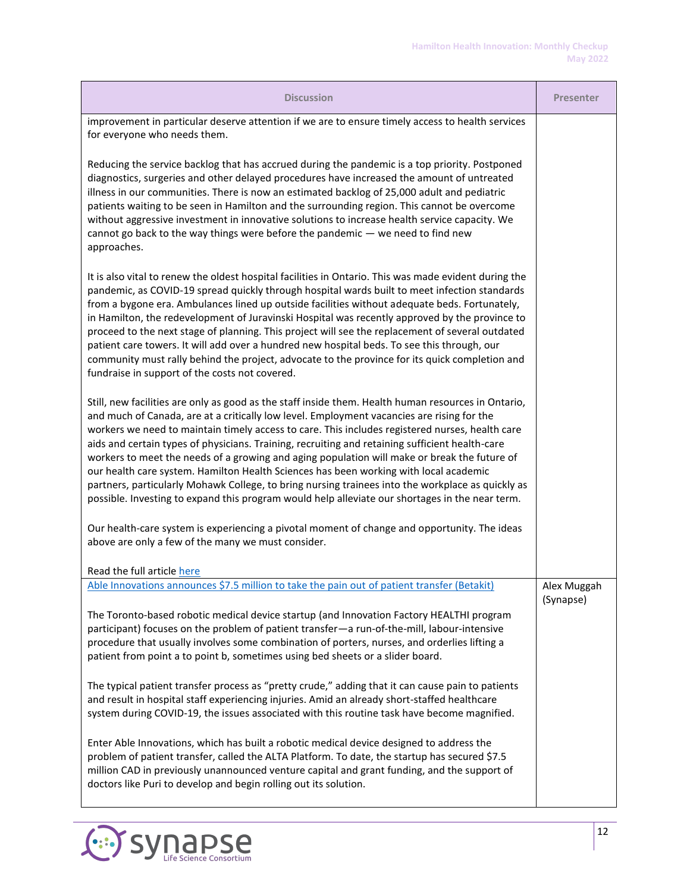| <b>Discussion</b>                                                                                                                                                                                                                                                                                                                                                                                                                                                                                                                                                                                                                                                                                                                                                                                        | <b>Presenter</b> |
|----------------------------------------------------------------------------------------------------------------------------------------------------------------------------------------------------------------------------------------------------------------------------------------------------------------------------------------------------------------------------------------------------------------------------------------------------------------------------------------------------------------------------------------------------------------------------------------------------------------------------------------------------------------------------------------------------------------------------------------------------------------------------------------------------------|------------------|
| improvement in particular deserve attention if we are to ensure timely access to health services<br>for everyone who needs them.                                                                                                                                                                                                                                                                                                                                                                                                                                                                                                                                                                                                                                                                         |                  |
| Reducing the service backlog that has accrued during the pandemic is a top priority. Postponed<br>diagnostics, surgeries and other delayed procedures have increased the amount of untreated<br>illness in our communities. There is now an estimated backlog of 25,000 adult and pediatric<br>patients waiting to be seen in Hamilton and the surrounding region. This cannot be overcome<br>without aggressive investment in innovative solutions to increase health service capacity. We<br>cannot go back to the way things were before the pandemic $-$ we need to find new<br>approaches.                                                                                                                                                                                                          |                  |
| It is also vital to renew the oldest hospital facilities in Ontario. This was made evident during the<br>pandemic, as COVID-19 spread quickly through hospital wards built to meet infection standards<br>from a bygone era. Ambulances lined up outside facilities without adequate beds. Fortunately,<br>in Hamilton, the redevelopment of Juravinski Hospital was recently approved by the province to<br>proceed to the next stage of planning. This project will see the replacement of several outdated<br>patient care towers. It will add over a hundred new hospital beds. To see this through, our<br>community must rally behind the project, advocate to the province for its quick completion and<br>fundraise in support of the costs not covered.                                         |                  |
| Still, new facilities are only as good as the staff inside them. Health human resources in Ontario,<br>and much of Canada, are at a critically low level. Employment vacancies are rising for the<br>workers we need to maintain timely access to care. This includes registered nurses, health care<br>aids and certain types of physicians. Training, recruiting and retaining sufficient health-care<br>workers to meet the needs of a growing and aging population will make or break the future of<br>our health care system. Hamilton Health Sciences has been working with local academic<br>partners, particularly Mohawk College, to bring nursing trainees into the workplace as quickly as<br>possible. Investing to expand this program would help alleviate our shortages in the near term. |                  |
| Our health-care system is experiencing a pivotal moment of change and opportunity. The ideas<br>above are only a few of the many we must consider.                                                                                                                                                                                                                                                                                                                                                                                                                                                                                                                                                                                                                                                       |                  |
| Read the full article here<br>Able Innovations announces \$7.5 million to take the pain out of patient transfer (Betakit)                                                                                                                                                                                                                                                                                                                                                                                                                                                                                                                                                                                                                                                                                | Alex Muggah      |
| The Toronto-based robotic medical device startup (and Innovation Factory HEALTHI program<br>participant) focuses on the problem of patient transfer-a run-of-the-mill, labour-intensive<br>procedure that usually involves some combination of porters, nurses, and orderlies lifting a<br>patient from point a to point b, sometimes using bed sheets or a slider board.                                                                                                                                                                                                                                                                                                                                                                                                                                | (Synapse)        |
| The typical patient transfer process as "pretty crude," adding that it can cause pain to patients<br>and result in hospital staff experiencing injuries. Amid an already short-staffed healthcare<br>system during COVID-19, the issues associated with this routine task have become magnified.                                                                                                                                                                                                                                                                                                                                                                                                                                                                                                         |                  |
| Enter Able Innovations, which has built a robotic medical device designed to address the<br>problem of patient transfer, called the ALTA Platform. To date, the startup has secured \$7.5<br>million CAD in previously unannounced venture capital and grant funding, and the support of<br>doctors like Puri to develop and begin rolling out its solution.                                                                                                                                                                                                                                                                                                                                                                                                                                             |                  |

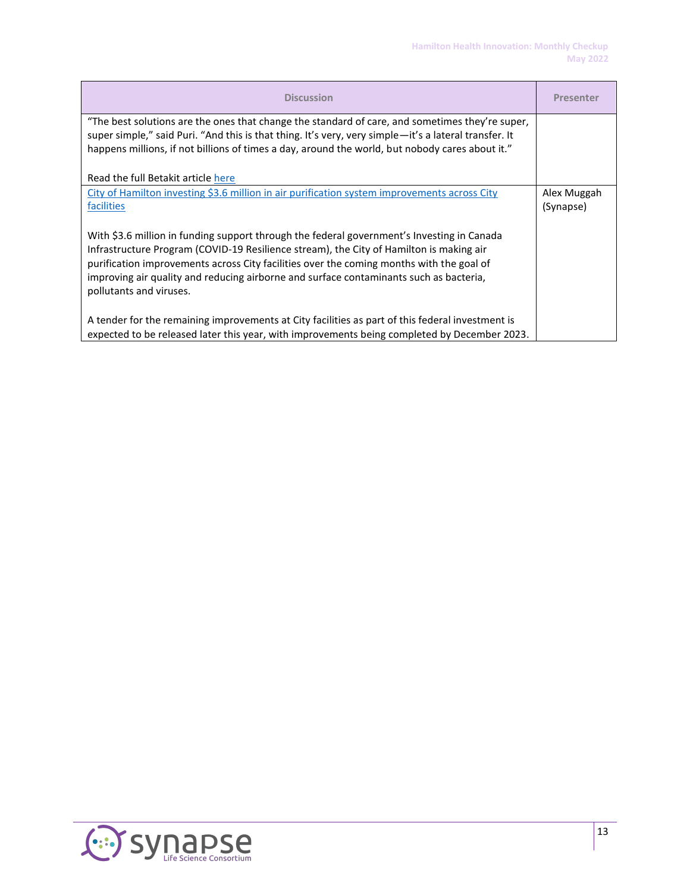| <b>Discussion</b>                                                                                                                                                                                                                                                                                                                                                                                      | <b>Presenter</b>         |
|--------------------------------------------------------------------------------------------------------------------------------------------------------------------------------------------------------------------------------------------------------------------------------------------------------------------------------------------------------------------------------------------------------|--------------------------|
| "The best solutions are the ones that change the standard of care, and sometimes they're super,<br>super simple," said Puri. "And this is that thing. It's very, very simple-it's a lateral transfer. It<br>happens millions, if not billions of times a day, around the world, but nobody cares about it."                                                                                            |                          |
| Read the full Betakit article here                                                                                                                                                                                                                                                                                                                                                                     |                          |
| City of Hamilton investing \$3.6 million in air purification system improvements across City<br>facilities                                                                                                                                                                                                                                                                                             | Alex Muggah<br>(Synapse) |
| With \$3.6 million in funding support through the federal government's Investing in Canada<br>Infrastructure Program (COVID-19 Resilience stream), the City of Hamilton is making air<br>purification improvements across City facilities over the coming months with the goal of<br>improving air quality and reducing airborne and surface contaminants such as bacteria,<br>pollutants and viruses. |                          |
| A tender for the remaining improvements at City facilities as part of this federal investment is<br>expected to be released later this year, with improvements being completed by December 2023.                                                                                                                                                                                                       |                          |

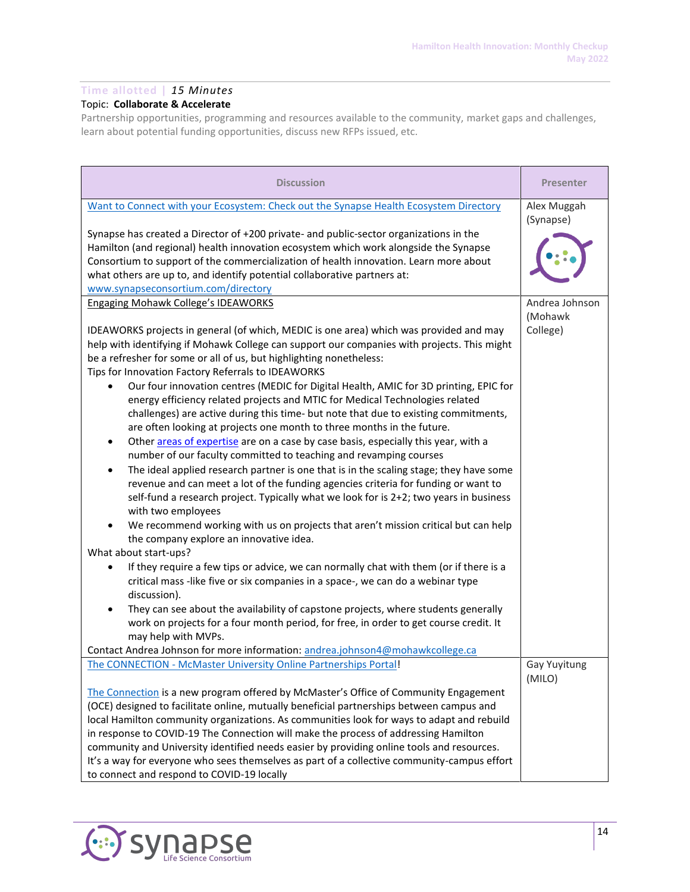# **Time allotted |** *15 Minutes*

# Topic: **Collaborate & Accelerate**

Partnership opportunities, programming and resources available to the community, market gaps and challenges, learn about potential funding opportunities, discuss new RFPs issued, etc.

| <b>Discussion</b>                                                                                                                                                                                                                                                                                                                                                                                                                                                                                                                                                                                                                                                                                                                                                                                                                                                                                                                                                                                                                                                                                                                                                                                                                                                                                                                                                                                                                                                                                                                                                                                                                                                                                                                                                                                                         | <b>Presenter</b>         |
|---------------------------------------------------------------------------------------------------------------------------------------------------------------------------------------------------------------------------------------------------------------------------------------------------------------------------------------------------------------------------------------------------------------------------------------------------------------------------------------------------------------------------------------------------------------------------------------------------------------------------------------------------------------------------------------------------------------------------------------------------------------------------------------------------------------------------------------------------------------------------------------------------------------------------------------------------------------------------------------------------------------------------------------------------------------------------------------------------------------------------------------------------------------------------------------------------------------------------------------------------------------------------------------------------------------------------------------------------------------------------------------------------------------------------------------------------------------------------------------------------------------------------------------------------------------------------------------------------------------------------------------------------------------------------------------------------------------------------------------------------------------------------------------------------------------------------|--------------------------|
| Want to Connect with your Ecosystem: Check out the Synapse Health Ecosystem Directory                                                                                                                                                                                                                                                                                                                                                                                                                                                                                                                                                                                                                                                                                                                                                                                                                                                                                                                                                                                                                                                                                                                                                                                                                                                                                                                                                                                                                                                                                                                                                                                                                                                                                                                                     | Alex Muggah<br>(Synapse) |
| Synapse has created a Director of +200 private- and public-sector organizations in the<br>Hamilton (and regional) health innovation ecosystem which work alongside the Synapse<br>Consortium to support of the commercialization of health innovation. Learn more about<br>what others are up to, and identify potential collaborative partners at:<br>www.synapseconsortium.com/directory                                                                                                                                                                                                                                                                                                                                                                                                                                                                                                                                                                                                                                                                                                                                                                                                                                                                                                                                                                                                                                                                                                                                                                                                                                                                                                                                                                                                                                |                          |
| Engaging Mohawk College's IDEAWORKS                                                                                                                                                                                                                                                                                                                                                                                                                                                                                                                                                                                                                                                                                                                                                                                                                                                                                                                                                                                                                                                                                                                                                                                                                                                                                                                                                                                                                                                                                                                                                                                                                                                                                                                                                                                       | Andrea Johnson           |
| IDEAWORKS projects in general (of which, MEDIC is one area) which was provided and may<br>help with identifying if Mohawk College can support our companies with projects. This might<br>be a refresher for some or all of us, but highlighting nonetheless:<br>Tips for Innovation Factory Referrals to IDEAWORKS<br>Our four innovation centres (MEDIC for Digital Health, AMIC for 3D printing, EPIC for<br>energy efficiency related projects and MTIC for Medical Technologies related<br>challenges) are active during this time- but note that due to existing commitments,<br>are often looking at projects one month to three months in the future.<br>Other areas of expertise are on a case by case basis, especially this year, with a<br>$\bullet$<br>number of our faculty committed to teaching and revamping courses<br>The ideal applied research partner is one that is in the scaling stage; they have some<br>$\bullet$<br>revenue and can meet a lot of the funding agencies criteria for funding or want to<br>self-fund a research project. Typically what we look for is 2+2; two years in business<br>with two employees<br>We recommend working with us on projects that aren't mission critical but can help<br>$\bullet$<br>the company explore an innovative idea.<br>What about start-ups?<br>If they require a few tips or advice, we can normally chat with them (or if there is a<br>$\bullet$<br>critical mass -like five or six companies in a space-, we can do a webinar type<br>discussion).<br>They can see about the availability of capstone projects, where students generally<br>work on projects for a four month period, for free, in order to get course credit. It<br>may help with MVPs.<br>Contact Andrea Johnson for more information: andrea.johnson4@mohawkcollege.ca | (Mohawk<br>College)      |
| The CONNECTION - McMaster University Online Partnerships Portal!                                                                                                                                                                                                                                                                                                                                                                                                                                                                                                                                                                                                                                                                                                                                                                                                                                                                                                                                                                                                                                                                                                                                                                                                                                                                                                                                                                                                                                                                                                                                                                                                                                                                                                                                                          | Gay Yuyitung             |
| The Connection is a new program offered by McMaster's Office of Community Engagement<br>(OCE) designed to facilitate online, mutually beneficial partnerships between campus and<br>local Hamilton community organizations. As communities look for ways to adapt and rebuild<br>in response to COVID-19 The Connection will make the process of addressing Hamilton<br>community and University identified needs easier by providing online tools and resources.<br>It's a way for everyone who sees themselves as part of a collective community-campus effort<br>to connect and respond to COVID-19 locally                                                                                                                                                                                                                                                                                                                                                                                                                                                                                                                                                                                                                                                                                                                                                                                                                                                                                                                                                                                                                                                                                                                                                                                                            | (MILO)                   |

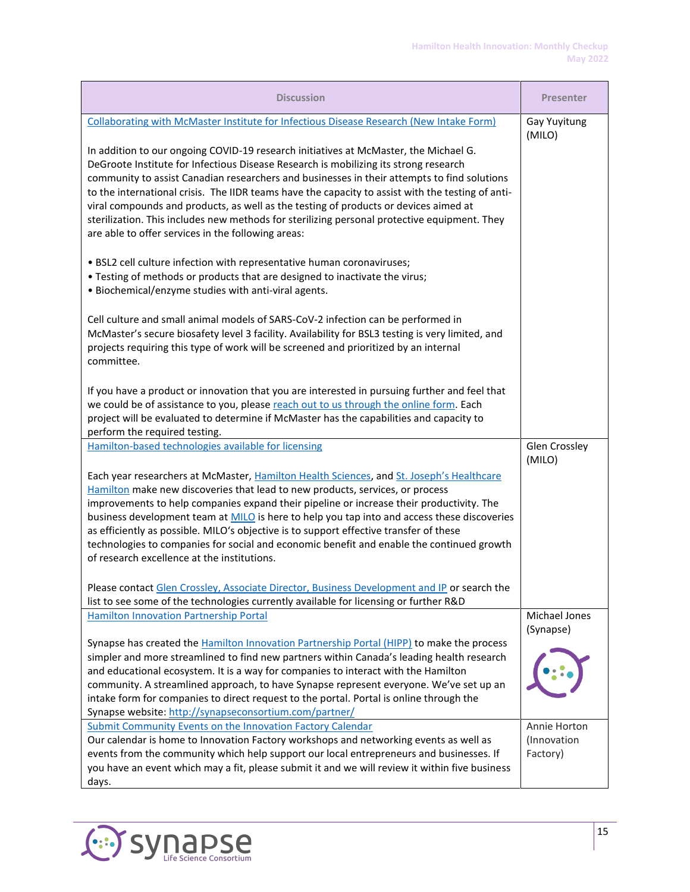| <b>Discussion</b>                                                                                                                                                                                                                                                                                                                                                                                                                                                                                                                                                                                                              | <b>Presenter</b>                        |
|--------------------------------------------------------------------------------------------------------------------------------------------------------------------------------------------------------------------------------------------------------------------------------------------------------------------------------------------------------------------------------------------------------------------------------------------------------------------------------------------------------------------------------------------------------------------------------------------------------------------------------|-----------------------------------------|
| Collaborating with McMaster Institute for Infectious Disease Research (New Intake Form)                                                                                                                                                                                                                                                                                                                                                                                                                                                                                                                                        | Gay Yuyitung<br>(MILO)                  |
| In addition to our ongoing COVID-19 research initiatives at McMaster, the Michael G.<br>DeGroote Institute for Infectious Disease Research is mobilizing its strong research<br>community to assist Canadian researchers and businesses in their attempts to find solutions<br>to the international crisis. The IIDR teams have the capacity to assist with the testing of anti-<br>viral compounds and products, as well as the testing of products or devices aimed at<br>sterilization. This includes new methods for sterilizing personal protective equipment. They<br>are able to offer services in the following areas: |                                         |
| . BSL2 cell culture infection with representative human coronaviruses;<br>. Testing of methods or products that are designed to inactivate the virus;<br>. Biochemical/enzyme studies with anti-viral agents.                                                                                                                                                                                                                                                                                                                                                                                                                  |                                         |
| Cell culture and small animal models of SARS-CoV-2 infection can be performed in<br>McMaster's secure biosafety level 3 facility. Availability for BSL3 testing is very limited, and<br>projects requiring this type of work will be screened and prioritized by an internal<br>committee.                                                                                                                                                                                                                                                                                                                                     |                                         |
| If you have a product or innovation that you are interested in pursuing further and feel that<br>we could be of assistance to you, please reach out to us through the online form. Each<br>project will be evaluated to determine if McMaster has the capabilities and capacity to<br>perform the required testing.                                                                                                                                                                                                                                                                                                            |                                         |
| Hamilton-based technologies available for licensing                                                                                                                                                                                                                                                                                                                                                                                                                                                                                                                                                                            | Glen Crossley<br>(MILO)                 |
| Each year researchers at McMaster, Hamilton Health Sciences, and St. Joseph's Healthcare<br>Hamilton make new discoveries that lead to new products, services, or process<br>improvements to help companies expand their pipeline or increase their productivity. The<br>business development team at MILO is here to help you tap into and access these discoveries<br>as efficiently as possible. MILO's objective is to support effective transfer of these<br>technologies to companies for social and economic benefit and enable the continued growth<br>of research excellence at the institutions.                     |                                         |
| Please contact Glen Crossley, Associate Director, Business Development and IP or search the<br>list to see some of the technologies currently available for licensing or further R&D                                                                                                                                                                                                                                                                                                                                                                                                                                           |                                         |
| <b>Hamilton Innovation Partnership Portal</b>                                                                                                                                                                                                                                                                                                                                                                                                                                                                                                                                                                                  | Michael Jones<br>(Synapse)              |
| Synapse has created the Hamilton Innovation Partnership Portal (HIPP) to make the process<br>simpler and more streamlined to find new partners within Canada's leading health research<br>and educational ecosystem. It is a way for companies to interact with the Hamilton<br>community. A streamlined approach, to have Synapse represent everyone. We've set up an<br>intake form for companies to direct request to the portal. Portal is online through the<br>Synapse website: http://synapseconsortium.com/partner/                                                                                                    |                                         |
| Submit Community Events on the Innovation Factory Calendar<br>Our calendar is home to Innovation Factory workshops and networking events as well as<br>events from the community which help support our local entrepreneurs and businesses. If<br>you have an event which may a fit, please submit it and we will review it within five business<br>days.                                                                                                                                                                                                                                                                      | Annie Horton<br>(Innovation<br>Factory) |

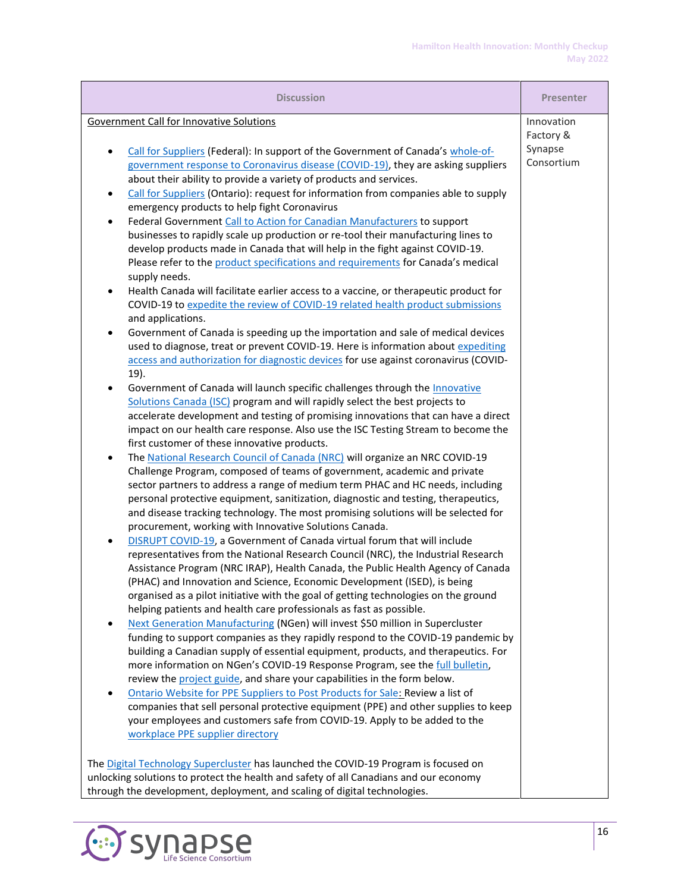| <b>Discussion</b>                                                                                                                                                   | <b>Presenter</b>      |
|---------------------------------------------------------------------------------------------------------------------------------------------------------------------|-----------------------|
| <b>Government Call for Innovative Solutions</b>                                                                                                                     | Innovation            |
|                                                                                                                                                                     | Factory &             |
| Call for Suppliers (Federal): In support of the Government of Canada's whole-of-<br>$\bullet$                                                                       | Synapse<br>Consortium |
| government response to Coronavirus disease (COVID-19), they are asking suppliers                                                                                    |                       |
| about their ability to provide a variety of products and services.                                                                                                  |                       |
| Call for Suppliers (Ontario): request for information from companies able to supply<br>٠                                                                            |                       |
| emergency products to help fight Coronavirus<br>Federal Government Call to Action for Canadian Manufacturers to support<br>$\bullet$                                |                       |
| businesses to rapidly scale up production or re-tool their manufacturing lines to                                                                                   |                       |
| develop products made in Canada that will help in the fight against COVID-19.                                                                                       |                       |
| Please refer to the product specifications and requirements for Canada's medical                                                                                    |                       |
| supply needs.                                                                                                                                                       |                       |
| Health Canada will facilitate earlier access to a vaccine, or therapeutic product for                                                                               |                       |
| COVID-19 to expedite the review of COVID-19 related health product submissions                                                                                      |                       |
| and applications.                                                                                                                                                   |                       |
| Government of Canada is speeding up the importation and sale of medical devices                                                                                     |                       |
| used to diagnose, treat or prevent COVID-19. Here is information about expediting                                                                                   |                       |
| access and authorization for diagnostic devices for use against coronavirus (COVID-                                                                                 |                       |
| 19).<br>Government of Canada will launch specific challenges through the Innovative                                                                                 |                       |
| $\bullet$<br>Solutions Canada (ISC) program and will rapidly select the best projects to                                                                            |                       |
| accelerate development and testing of promising innovations that can have a direct                                                                                  |                       |
| impact on our health care response. Also use the ISC Testing Stream to become the                                                                                   |                       |
| first customer of these innovative products.                                                                                                                        |                       |
| The National Research Council of Canada (NRC) will organize an NRC COVID-19<br>$\bullet$                                                                            |                       |
| Challenge Program, composed of teams of government, academic and private                                                                                            |                       |
| sector partners to address a range of medium term PHAC and HC needs, including                                                                                      |                       |
| personal protective equipment, sanitization, diagnostic and testing, therapeutics,                                                                                  |                       |
| and disease tracking technology. The most promising solutions will be selected for                                                                                  |                       |
| procurement, working with Innovative Solutions Canada.                                                                                                              |                       |
| DISRUPT COVID-19, a Government of Canada virtual forum that will include<br>representatives from the National Research Council (NRC), the Industrial Research       |                       |
| Assistance Program (NRC IRAP), Health Canada, the Public Health Agency of Canada                                                                                    |                       |
| (PHAC) and Innovation and Science, Economic Development (ISED), is being                                                                                            |                       |
| organised as a pilot initiative with the goal of getting technologies on the ground                                                                                 |                       |
| helping patients and health care professionals as fast as possible.                                                                                                 |                       |
| Next Generation Manufacturing (NGen) will invest \$50 million in Supercluster<br>$\bullet$                                                                          |                       |
| funding to support companies as they rapidly respond to the COVID-19 pandemic by                                                                                    |                       |
| building a Canadian supply of essential equipment, products, and therapeutics. For                                                                                  |                       |
| more information on NGen's COVID-19 Response Program, see the full bulletin,                                                                                        |                       |
| review the project guide, and share your capabilities in the form below.                                                                                            |                       |
| Ontario Website for PPE Suppliers to Post Products for Sale: Review a list of<br>companies that sell personal protective equipment (PPE) and other supplies to keep |                       |
| your employees and customers safe from COVID-19. Apply to be added to the                                                                                           |                       |
| workplace PPE supplier directory                                                                                                                                    |                       |
|                                                                                                                                                                     |                       |
| The Digital Technology Supercluster has launched the COVID-19 Program is focused on                                                                                 |                       |
| unlocking solutions to protect the health and safety of all Canadians and our economy                                                                               |                       |
| through the development, deployment, and scaling of digital technologies.                                                                                           |                       |